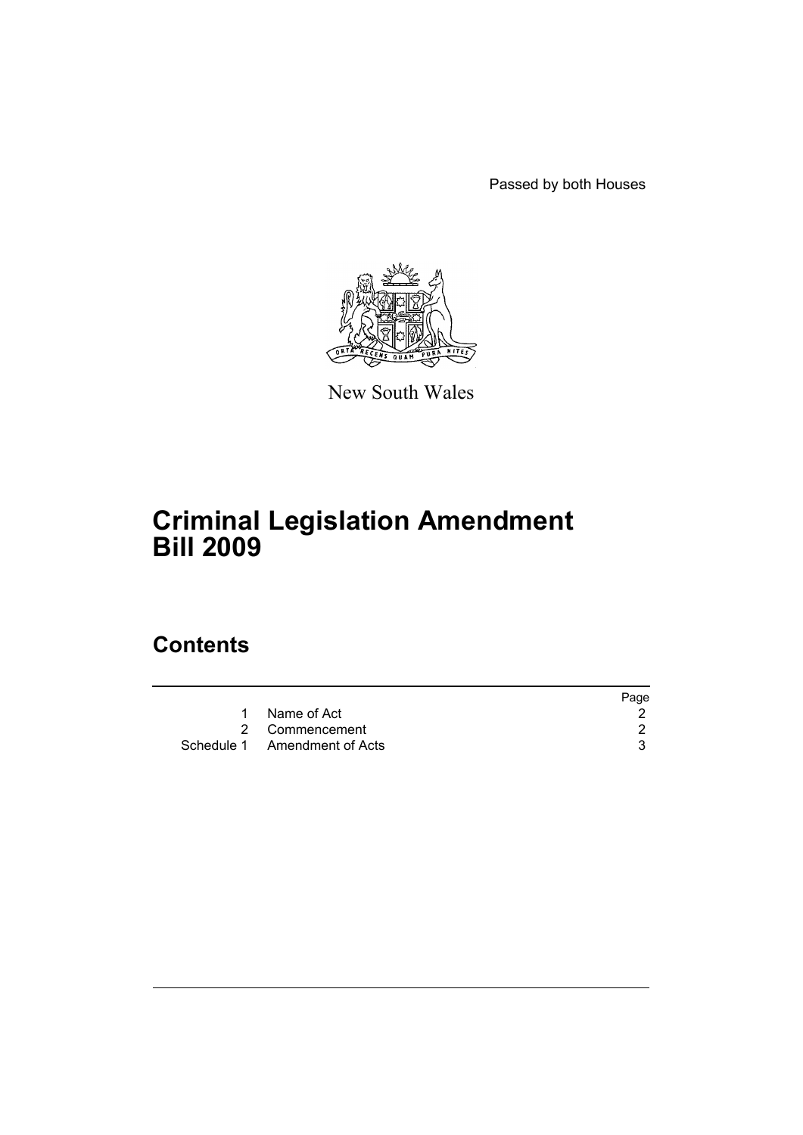Passed by both Houses



New South Wales

# **Criminal Legislation Amendment Bill 2009**

# **Contents**

|                              | Page |
|------------------------------|------|
| Name of Act                  |      |
| 2 Commencement               |      |
| Schedule 1 Amendment of Acts |      |
|                              |      |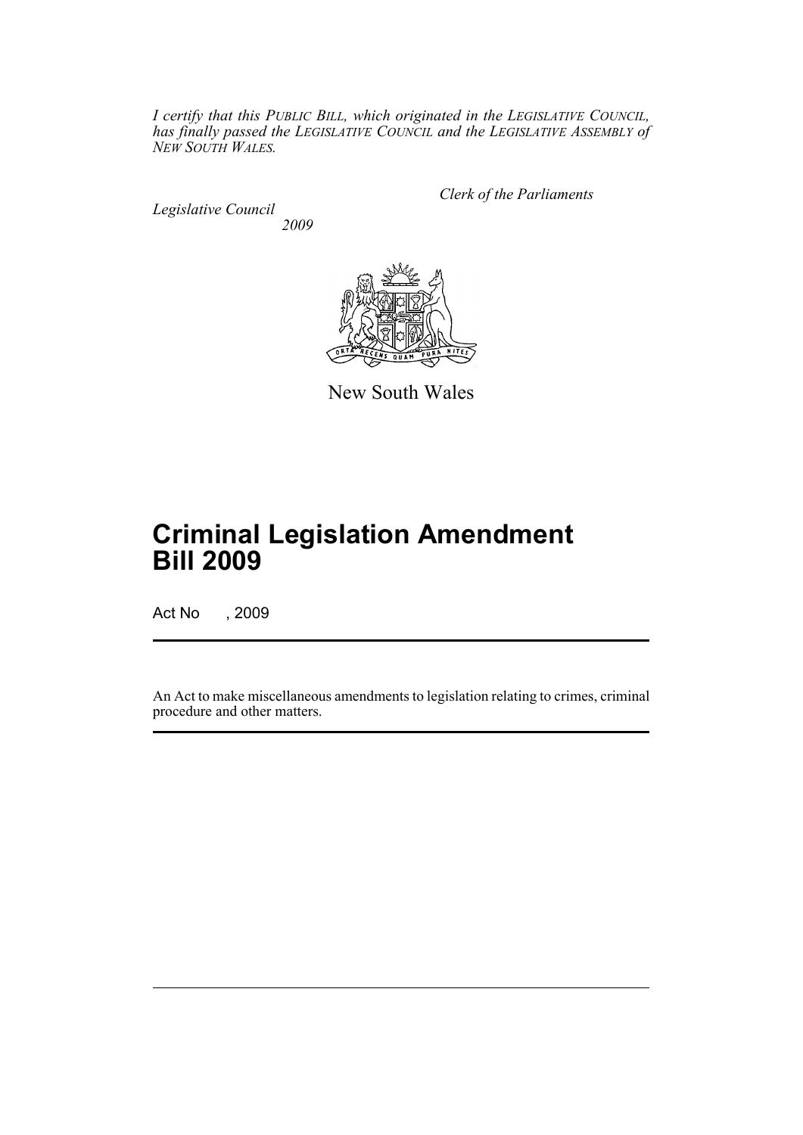*I certify that this PUBLIC BILL, which originated in the LEGISLATIVE COUNCIL, has finally passed the LEGISLATIVE COUNCIL and the LEGISLATIVE ASSEMBLY of NEW SOUTH WALES.*

*Legislative Council 2009* *Clerk of the Parliaments*



New South Wales

# **Criminal Legislation Amendment Bill 2009**

Act No , 2009

An Act to make miscellaneous amendments to legislation relating to crimes, criminal procedure and other matters.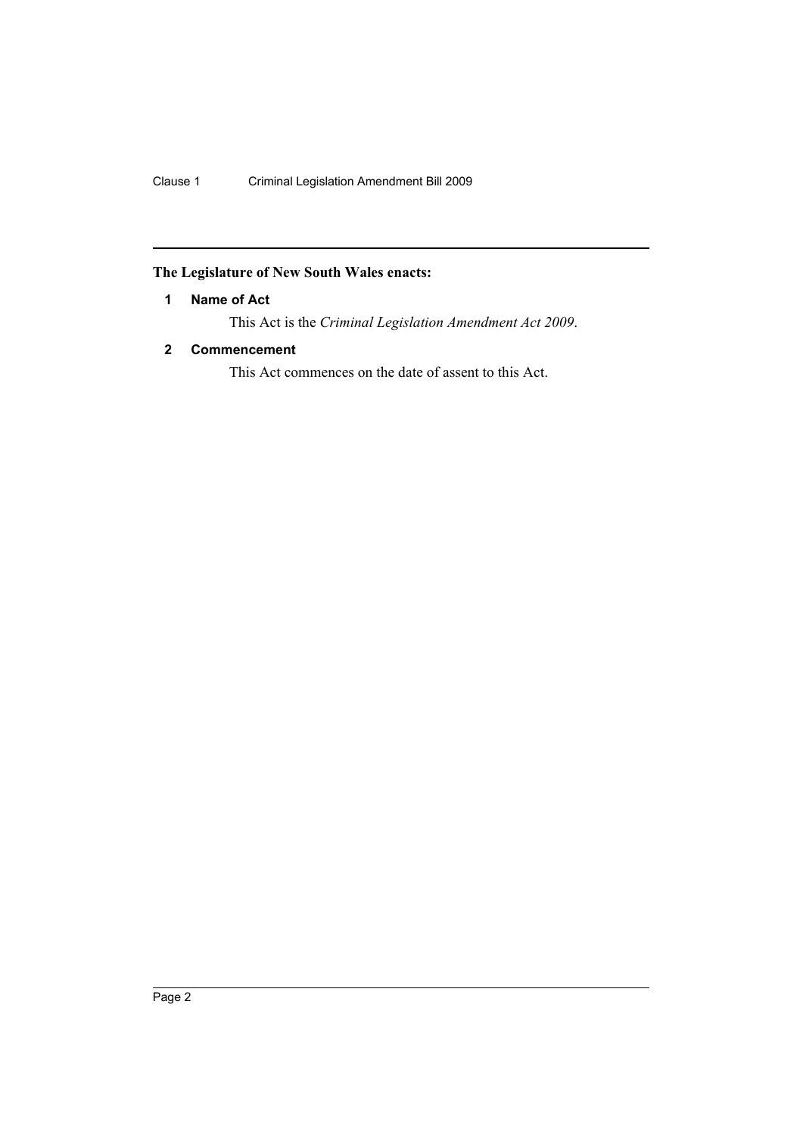# <span id="page-3-0"></span>**The Legislature of New South Wales enacts:**

# **1 Name of Act**

This Act is the *Criminal Legislation Amendment Act 2009*.

# <span id="page-3-1"></span>**2 Commencement**

This Act commences on the date of assent to this Act.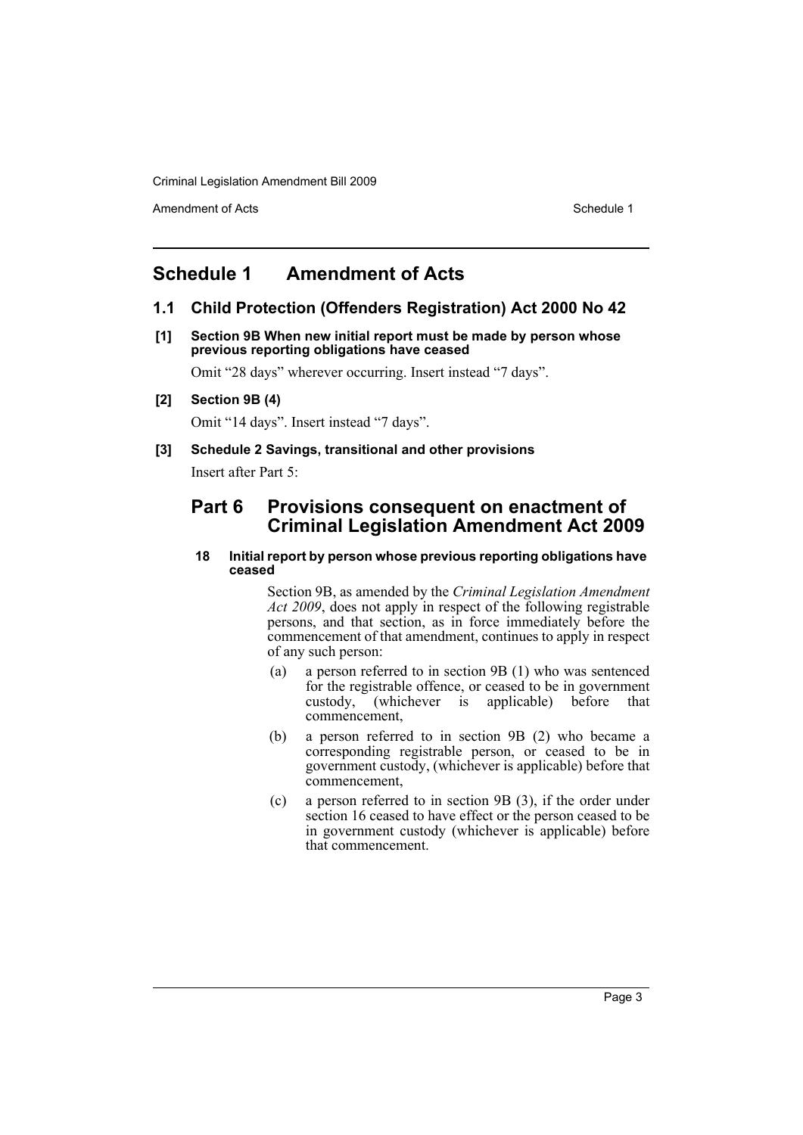Amendment of Acts **Schedule 1** and the set of Acts Schedule 1

# <span id="page-4-0"></span>**Schedule 1 Amendment of Acts**

# **1.1 Child Protection (Offenders Registration) Act 2000 No 42**

**[1] Section 9B When new initial report must be made by person whose previous reporting obligations have ceased**

Omit "28 days" wherever occurring. Insert instead "7 days".

**[2] Section 9B (4)**

Omit "14 days". Insert instead "7 days".

**[3] Schedule 2 Savings, transitional and other provisions**

Insert after Part 5:

# **Part 6 Provisions consequent on enactment of Criminal Legislation Amendment Act 2009**

#### **18 Initial report by person whose previous reporting obligations have ceased**

Section 9B, as amended by the *Criminal Legislation Amendment Act 2009*, does not apply in respect of the following registrable persons, and that section, as in force immediately before the commencement of that amendment, continues to apply in respect of any such person:

- (a) a person referred to in section 9B (1) who was sentenced for the registrable offence, or ceased to be in government custody, (whichever is applicable) before that commencement,
- (b) a person referred to in section 9B (2) who became a corresponding registrable person, or ceased to be in government custody, (whichever is applicable) before that commencement,
- (c) a person referred to in section 9B (3), if the order under section 16 ceased to have effect or the person ceased to be in government custody (whichever is applicable) before that commencement.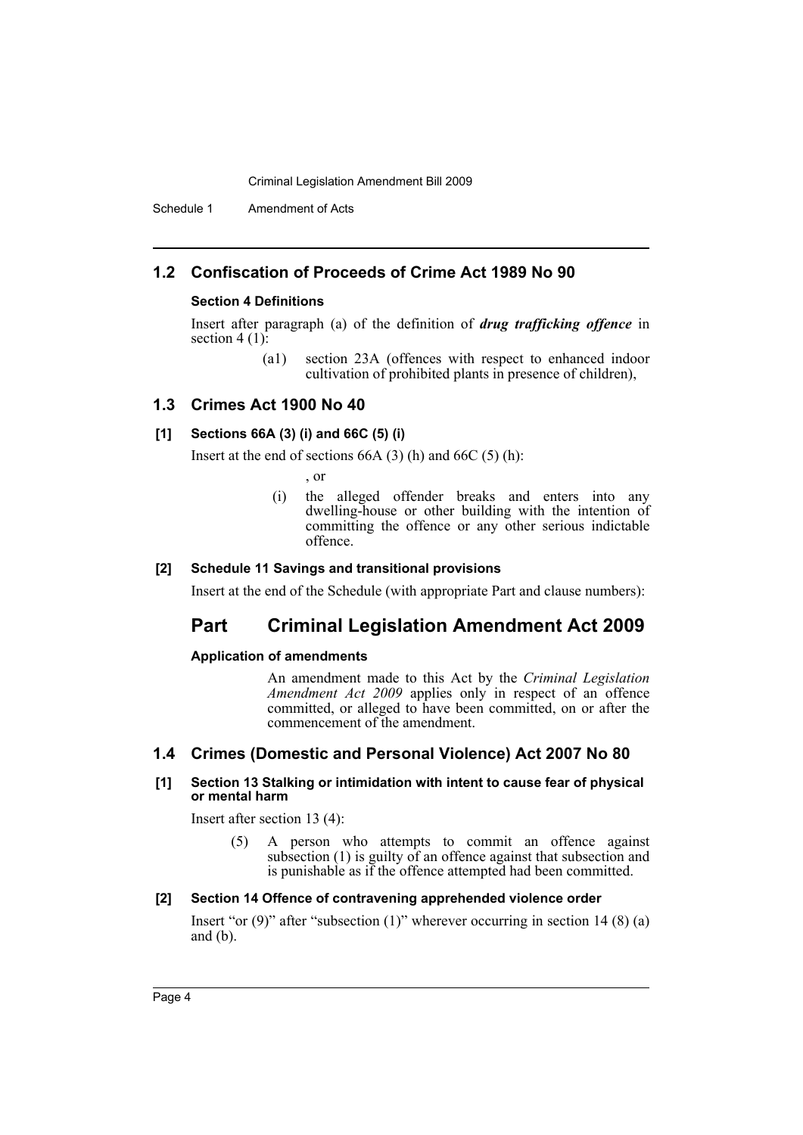Schedule 1 Amendment of Acts

# **1.2 Confiscation of Proceeds of Crime Act 1989 No 90**

### **Section 4 Definitions**

Insert after paragraph (a) of the definition of *drug trafficking offence* in section  $4(1)$ :

> (a1) section 23A (offences with respect to enhanced indoor cultivation of prohibited plants in presence of children),

# **1.3 Crimes Act 1900 No 40**

#### **[1] Sections 66A (3) (i) and 66C (5) (i)**

Insert at the end of sections  $66A(3)$  (h) and  $66C(5)$  (h):

, or

(i) the alleged offender breaks and enters into any dwelling-house or other building with the intention of committing the offence or any other serious indictable offence.

#### **[2] Schedule 11 Savings and transitional provisions**

Insert at the end of the Schedule (with appropriate Part and clause numbers):

# **Part Criminal Legislation Amendment Act 2009**

#### **Application of amendments**

An amendment made to this Act by the *Criminal Legislation Amendment Act 2009* applies only in respect of an offence committed, or alleged to have been committed, on or after the commencement of the amendment.

# **1.4 Crimes (Domestic and Personal Violence) Act 2007 No 80**

#### **[1] Section 13 Stalking or intimidation with intent to cause fear of physical or mental harm**

Insert after section 13 (4):

(5) A person who attempts to commit an offence against subsection (1) is guilty of an offence against that subsection and is punishable as if the offence attempted had been committed.

#### **[2] Section 14 Offence of contravening apprehended violence order**

Insert "or  $(9)$ " after "subsection  $(1)$ " wherever occurring in section 14  $(8)$   $(a)$ and (b).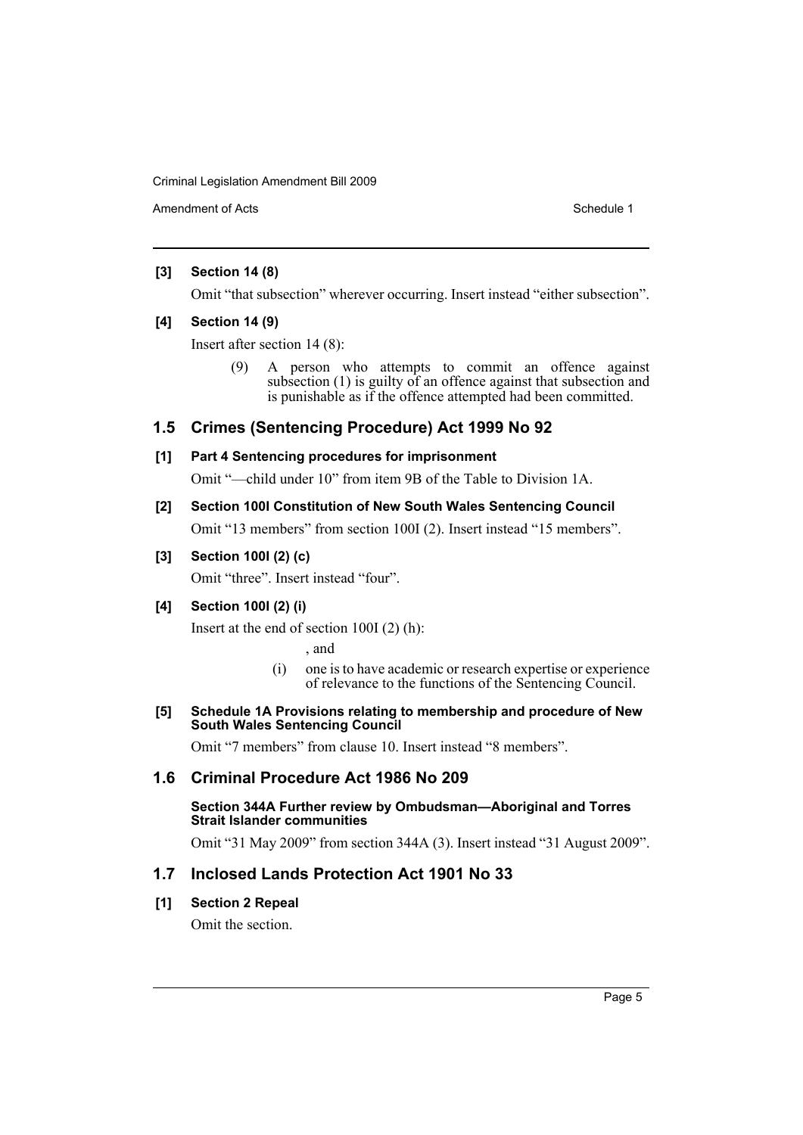Amendment of Acts **Schedule 1** and the set of Acts Schedule 1

### **[3] Section 14 (8)**

Omit "that subsection" wherever occurring. Insert instead "either subsection".

#### **[4] Section 14 (9)**

Insert after section 14 (8):

(9) A person who attempts to commit an offence against subsection (1) is guilty of an offence against that subsection and is punishable as if the offence attempted had been committed.

# **1.5 Crimes (Sentencing Procedure) Act 1999 No 92**

# **[1] Part 4 Sentencing procedures for imprisonment**

Omit "—child under 10" from item 9B of the Table to Division 1A.

# **[2] Section 100I Constitution of New South Wales Sentencing Council**

Omit "13 members" from section 100I (2). Insert instead "15 members".

# **[3] Section 100I (2) (c)**

Omit "three". Insert instead "four".

# **[4] Section 100I (2) (i)**

Insert at the end of section 100I (2) (h):

, and

(i) one is to have academic or research expertise or experience of relevance to the functions of the Sentencing Council.

#### **[5] Schedule 1A Provisions relating to membership and procedure of New South Wales Sentencing Council**

Omit "7 members" from clause 10. Insert instead "8 members".

# **1.6 Criminal Procedure Act 1986 No 209**

#### **Section 344A Further review by Ombudsman—Aboriginal and Torres Strait Islander communities**

Omit "31 May 2009" from section 344A (3). Insert instead "31 August 2009".

# **1.7 Inclosed Lands Protection Act 1901 No 33**

# **[1] Section 2 Repeal**

Omit the section.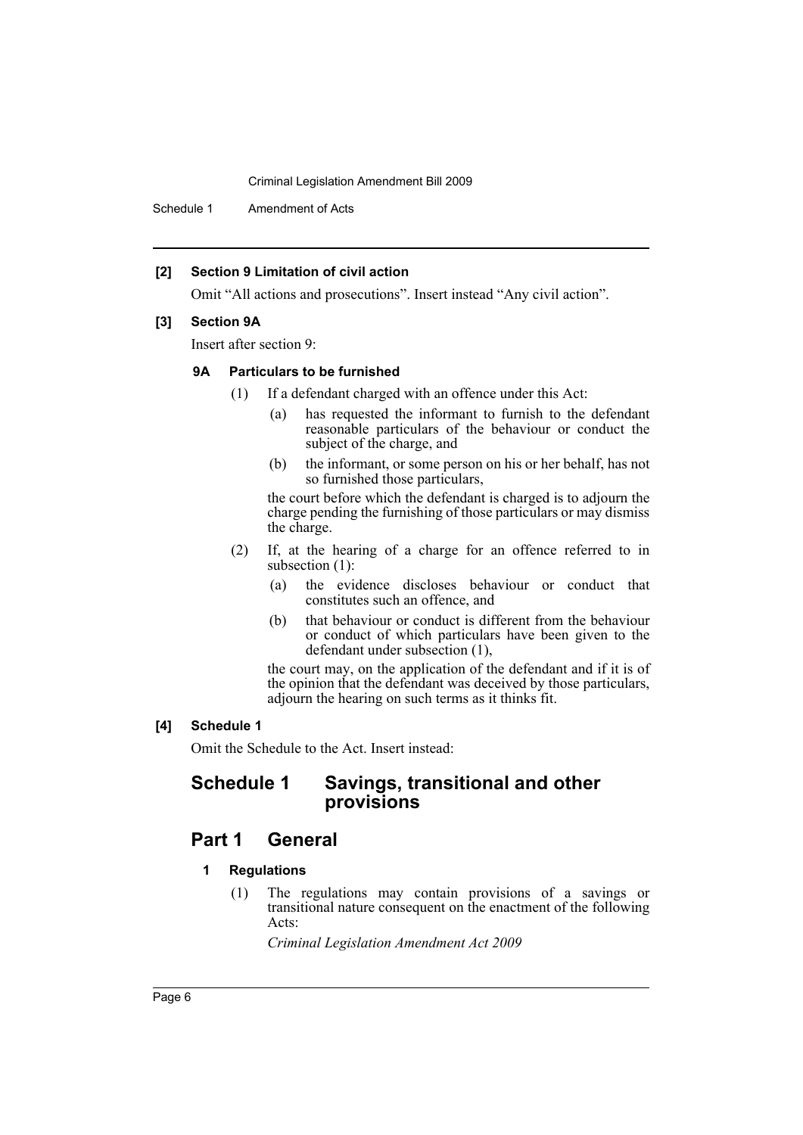Schedule 1 Amendment of Acts

#### **[2] Section 9 Limitation of civil action**

Omit "All actions and prosecutions". Insert instead "Any civil action".

#### **[3] Section 9A**

Insert after section 9:

#### **9A Particulars to be furnished**

- (1) If a defendant charged with an offence under this Act:
	- (a) has requested the informant to furnish to the defendant reasonable particulars of the behaviour or conduct the subject of the charge, and
	- (b) the informant, or some person on his or her behalf, has not so furnished those particulars,

the court before which the defendant is charged is to adjourn the charge pending the furnishing of those particulars or may dismiss the charge.

- (2) If, at the hearing of a charge for an offence referred to in subsection (1):
	- (a) the evidence discloses behaviour or conduct that constitutes such an offence, and
	- (b) that behaviour or conduct is different from the behaviour or conduct of which particulars have been given to the defendant under subsection (1),

the court may, on the application of the defendant and if it is of the opinion that the defendant was deceived by those particulars, adjourn the hearing on such terms as it thinks fit.

#### **[4] Schedule 1**

Omit the Schedule to the Act. Insert instead:

# **Schedule 1 Savings, transitional and other provisions**

# **Part 1 General**

#### **1 Regulations**

(1) The regulations may contain provisions of a savings or transitional nature consequent on the enactment of the following Acts:

*Criminal Legislation Amendment Act 2009*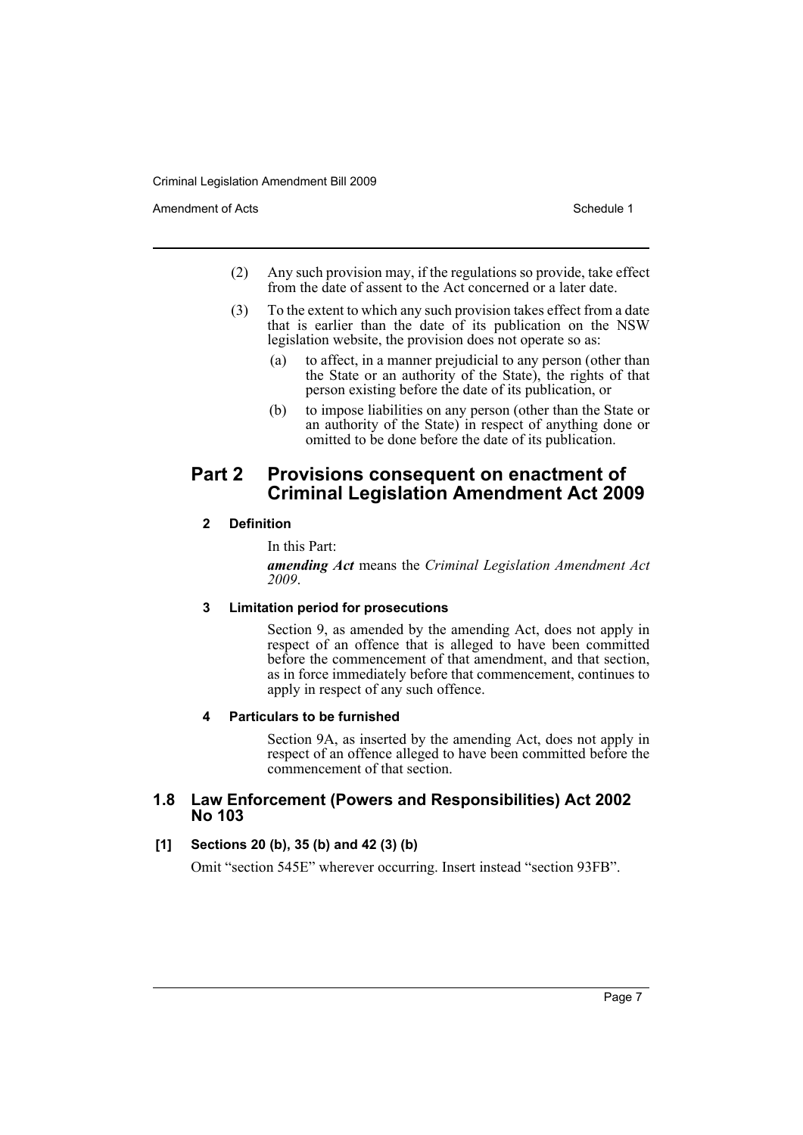Amendment of Acts **Schedule 1** and the set of Acts Schedule 1

- (2) Any such provision may, if the regulations so provide, take effect from the date of assent to the Act concerned or a later date.
- (3) To the extent to which any such provision takes effect from a date that is earlier than the date of its publication on the NSW legislation website, the provision does not operate so as:
	- (a) to affect, in a manner prejudicial to any person (other than the State or an authority of the State), the rights of that person existing before the date of its publication, or
	- (b) to impose liabilities on any person (other than the State or an authority of the State) in respect of anything done or omitted to be done before the date of its publication.

# **Part 2 Provisions consequent on enactment of Criminal Legislation Amendment Act 2009**

# **2 Definition**

# In this Part:

*amending Act* means the *Criminal Legislation Amendment Act 2009*.

# **3 Limitation period for prosecutions**

Section 9, as amended by the amending Act, does not apply in respect of an offence that is alleged to have been committed before the commencement of that amendment, and that section, as in force immediately before that commencement, continues to apply in respect of any such offence.

# **4 Particulars to be furnished**

Section 9A, as inserted by the amending Act, does not apply in respect of an offence alleged to have been committed before the commencement of that section.

# **1.8 Law Enforcement (Powers and Responsibilities) Act 2002 No 103**

# **[1] Sections 20 (b), 35 (b) and 42 (3) (b)**

Omit "section 545E" wherever occurring. Insert instead "section 93FB".